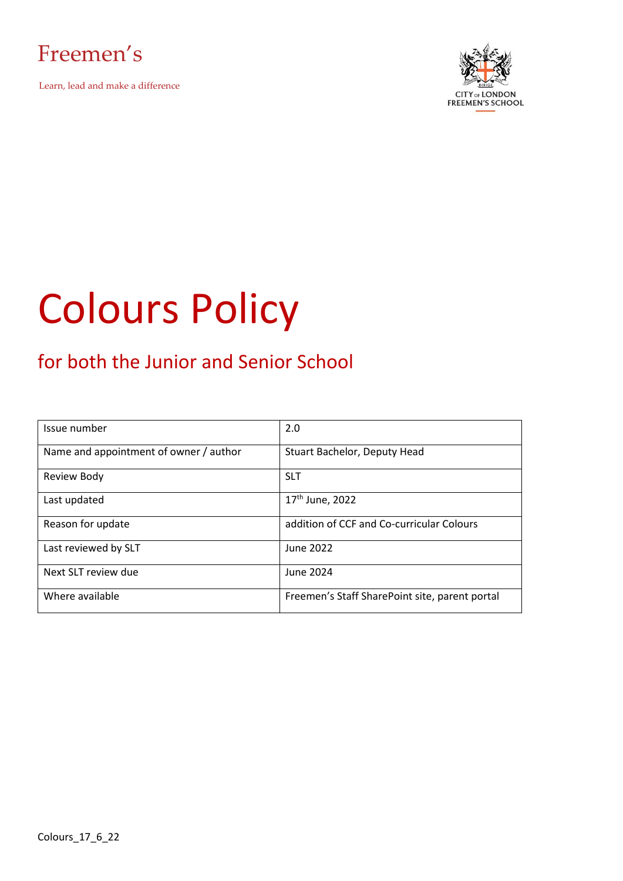



# Colours Policy

## for both the Junior and Senior School

| Issue number                           | 2.0                                            |
|----------------------------------------|------------------------------------------------|
|                                        |                                                |
| Name and appointment of owner / author | Stuart Bachelor, Deputy Head                   |
|                                        |                                                |
| <b>Review Body</b>                     | <b>SLT</b>                                     |
|                                        |                                                |
| Last updated                           | $17th$ June, 2022                              |
|                                        |                                                |
| Reason for update                      | addition of CCF and Co-curricular Colours      |
|                                        |                                                |
| Last reviewed by SLT                   | June 2022                                      |
|                                        |                                                |
| Next SLT review due                    | June 2024                                      |
|                                        |                                                |
| Where available                        | Freemen's Staff SharePoint site, parent portal |
|                                        |                                                |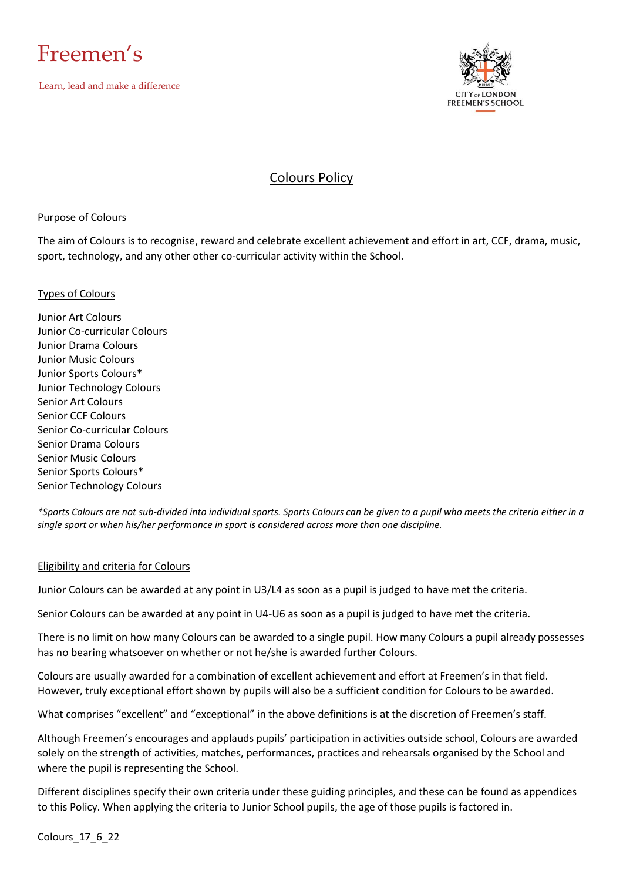



### Colours Policy

#### Purpose of Colours

The aim of Colours is to recognise, reward and celebrate excellent achievement and effort in art, CCF, drama, music, sport, technology, and any other other co-curricular activity within the School.

#### Types of Colours

Junior Art Colours Junior Co-curricular Colours Junior Drama Colours Junior Music Colours Junior Sports Colours\* Junior Technology Colours Senior Art Colours Senior CCF Colours Senior Co-curricular Colours Senior Drama Colours Senior Music Colours Senior Sports Colours\* Senior Technology Colours

*\*Sports Colours are not sub-divided into individual sports. Sports Colours can be given to a pupil who meets the criteria either in a single sport or when his/her performance in sport is considered across more than one discipline.*

#### Eligibility and criteria for Colours

Junior Colours can be awarded at any point in U3/L4 as soon as a pupil is judged to have met the criteria.

Senior Colours can be awarded at any point in U4-U6 as soon as a pupil is judged to have met the criteria.

There is no limit on how many Colours can be awarded to a single pupil. How many Colours a pupil already possesses has no bearing whatsoever on whether or not he/she is awarded further Colours.

Colours are usually awarded for a combination of excellent achievement and effort at Freemen's in that field. However, truly exceptional effort shown by pupils will also be a sufficient condition for Colours to be awarded.

What comprises "excellent" and "exceptional" in the above definitions is at the discretion of Freemen's staff.

Although Freemen's encourages and applauds pupils' participation in activities outside school, Colours are awarded solely on the strength of activities, matches, performances, practices and rehearsals organised by the School and where the pupil is representing the School.

Different disciplines specify their own criteria under these guiding principles, and these can be found as appendices to this Policy. When applying the criteria to Junior School pupils, the age of those pupils is factored in.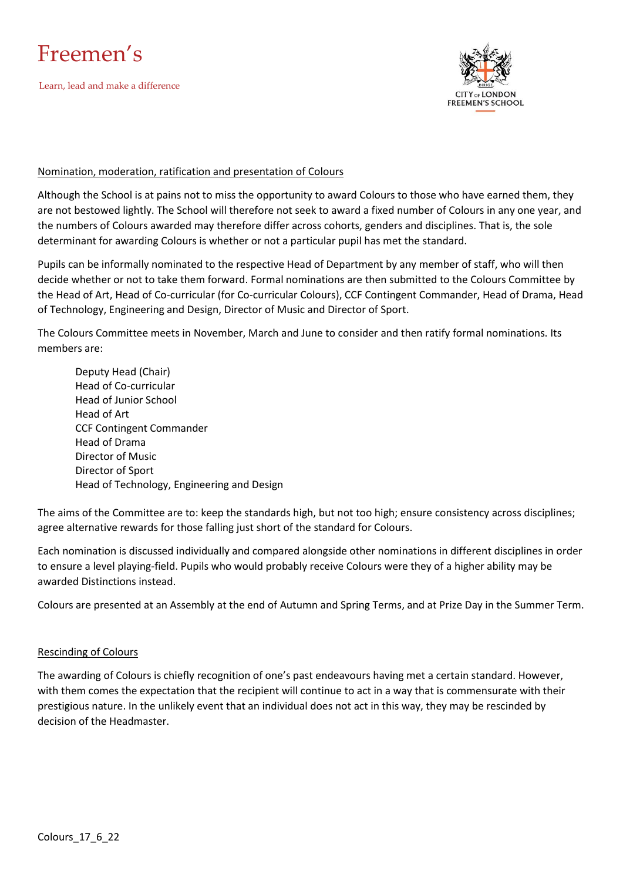



#### Nomination, moderation, ratification and presentation of Colours

Although the School is at pains not to miss the opportunity to award Colours to those who have earned them, they are not bestowed lightly. The School will therefore not seek to award a fixed number of Colours in any one year, and the numbers of Colours awarded may therefore differ across cohorts, genders and disciplines. That is, the sole determinant for awarding Colours is whether or not a particular pupil has met the standard.

Pupils can be informally nominated to the respective Head of Department by any member of staff, who will then decide whether or not to take them forward. Formal nominations are then submitted to the Colours Committee by the Head of Art, Head of Co-curricular (for Co-curricular Colours), CCF Contingent Commander, Head of Drama, Head of Technology, Engineering and Design, Director of Music and Director of Sport.

The Colours Committee meets in November, March and June to consider and then ratify formal nominations. Its members are:

Deputy Head (Chair) Head of Co-curricular Head of Junior School Head of Art CCF Contingent Commander Head of Drama Director of Music Director of Sport Head of Technology, Engineering and Design

The aims of the Committee are to: keep the standards high, but not too high; ensure consistency across disciplines; agree alternative rewards for those falling just short of the standard for Colours.

Each nomination is discussed individually and compared alongside other nominations in different disciplines in order to ensure a level playing-field. Pupils who would probably receive Colours were they of a higher ability may be awarded Distinctions instead.

Colours are presented at an Assembly at the end of Autumn and Spring Terms, and at Prize Day in the Summer Term.

#### Rescinding of Colours

The awarding of Colours is chiefly recognition of one's past endeavours having met a certain standard. However, with them comes the expectation that the recipient will continue to act in a way that is commensurate with their prestigious nature. In the unlikely event that an individual does not act in this way, they may be rescinded by decision of the Headmaster.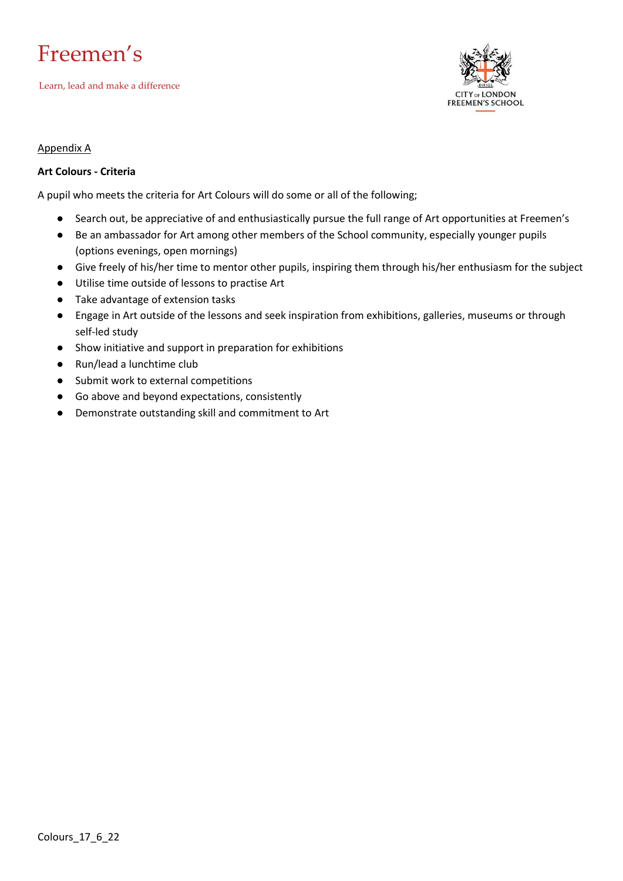## Freemen's

Learn, lead and make a difference



#### Appendix A

#### **Art Colours - Criteria**

A pupil who meets the criteria for Art Colours will do some or all of the following;

- Search out, be appreciative of and enthusiastically pursue the full range of Art opportunities at Freemen's
- Be an ambassador for Art among other members of the School community, especially younger pupils (options evenings, open mornings)
- Give freely of his/her time to mentor other pupils, inspiring them through his/her enthusiasm for the subject
- Utilise time outside of lessons to practise Art
- Take advantage of extension tasks
- Engage in Art outside of the lessons and seek inspiration from exhibitions, galleries, museums or through self-led study
- Show initiative and support in preparation for exhibitions
- Run/lead a lunchtime club
- Submit work to external competitions
- Go above and beyond expectations, consistently
- Demonstrate outstanding skill and commitment to Art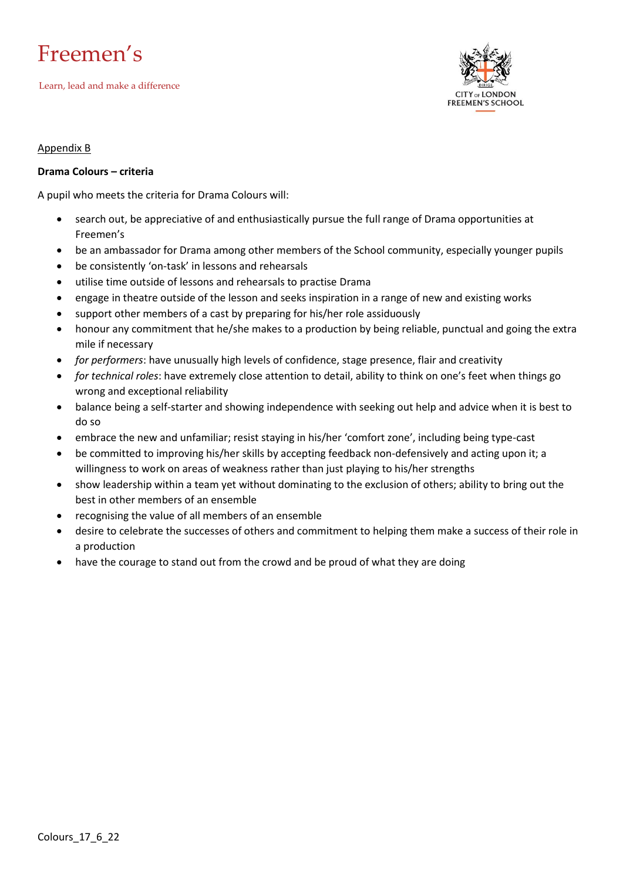



#### Appendix B

#### **Drama Colours – criteria**

A pupil who meets the criteria for Drama Colours will:

- search out, be appreciative of and enthusiastically pursue the full range of Drama opportunities at Freemen's
- be an ambassador for Drama among other members of the School community, especially younger pupils
- be consistently 'on-task' in lessons and rehearsals
- utilise time outside of lessons and rehearsals to practise Drama
- engage in theatre outside of the lesson and seeks inspiration in a range of new and existing works
- support other members of a cast by preparing for his/her role assiduously
- honour any commitment that he/she makes to a production by being reliable, punctual and going the extra mile if necessary
- *for performers*: have unusually high levels of confidence, stage presence, flair and creativity
- *for technical roles*: have extremely close attention to detail, ability to think on one's feet when things go wrong and exceptional reliability
- balance being a self-starter and showing independence with seeking out help and advice when it is best to do so
- embrace the new and unfamiliar; resist staying in his/her 'comfort zone', including being type-cast
- be committed to improving his/her skills by accepting feedback non-defensively and acting upon it; a willingness to work on areas of weakness rather than just playing to his/her strengths
- show leadership within a team yet without dominating to the exclusion of others; ability to bring out the best in other members of an ensemble
- recognising the value of all members of an ensemble
- desire to celebrate the successes of others and commitment to helping them make a success of their role in a production
- have the courage to stand out from the crowd and be proud of what they are doing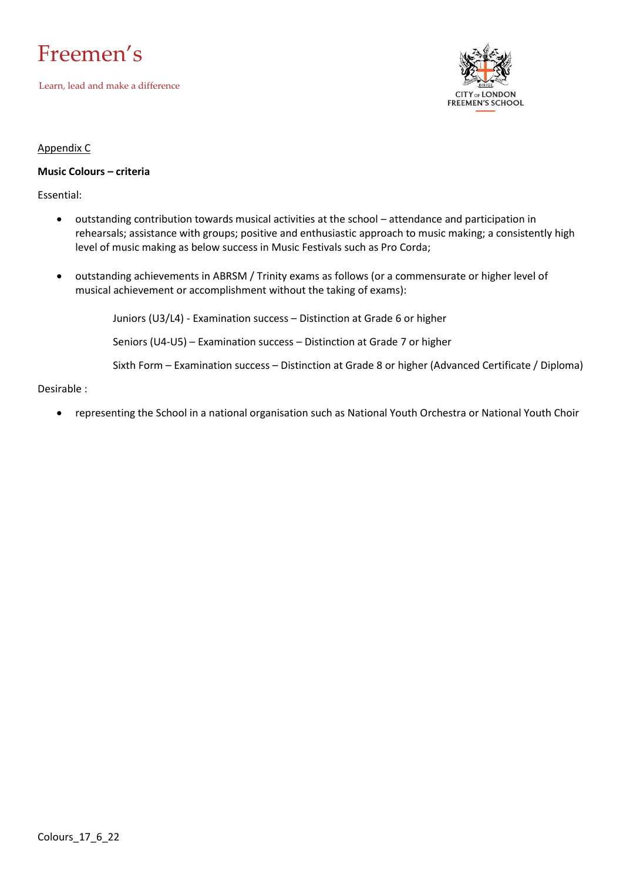



#### Appendix C

#### **Music Colours – criteria**

Essential:

- outstanding contribution towards musical activities at the school attendance and participation in rehearsals; assistance with groups; positive and enthusiastic approach to music making; a consistently high level of music making as below success in Music Festivals such as Pro Corda;
- outstanding achievements in ABRSM / Trinity exams as follows (or a commensurate or higher level of musical achievement or accomplishment without the taking of exams):

Juniors (U3/L4) - Examination success – Distinction at Grade 6 or higher

Seniors (U4-U5) – Examination success – Distinction at Grade 7 or higher

Sixth Form – Examination success – Distinction at Grade 8 or higher (Advanced Certificate / Diploma)

#### Desirable :

• representing the School in a national organisation such as National Youth Orchestra or National Youth Choir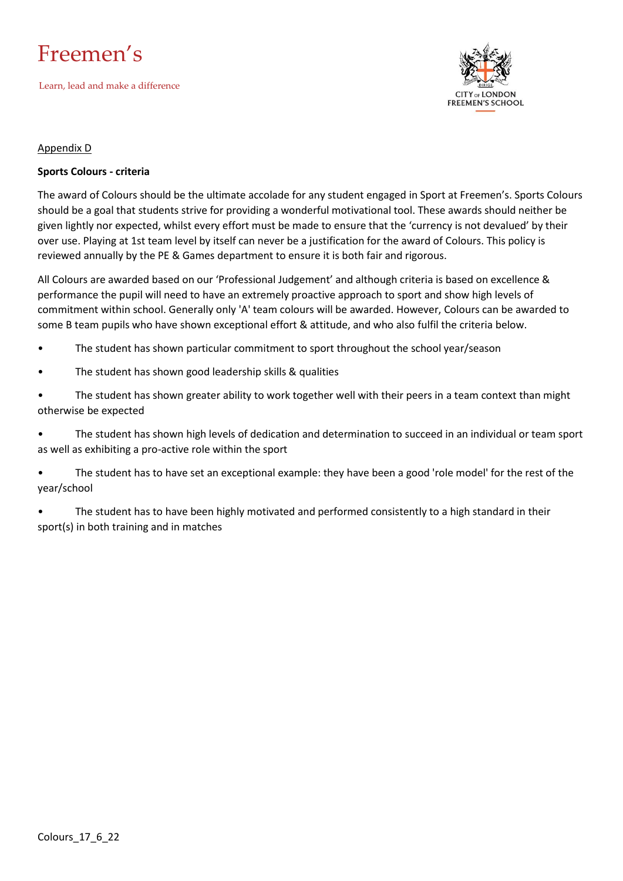



#### Appendix D

#### **Sports Colours - criteria**

The award of Colours should be the ultimate accolade for any student engaged in Sport at Freemen's. Sports Colours should be a goal that students strive for providing a wonderful motivational tool. These awards should neither be given lightly nor expected, whilst every effort must be made to ensure that the 'currency is not devalued' by their over use. Playing at 1st team level by itself can never be a justification for the award of Colours. This policy is reviewed annually by the PE & Games department to ensure it is both fair and rigorous.

All Colours are awarded based on our 'Professional Judgement' and although criteria is based on excellence & performance the pupil will need to have an extremely proactive approach to sport and show high levels of commitment within school. Generally only 'A' team colours will be awarded. However, Colours can be awarded to some B team pupils who have shown exceptional effort & attitude, and who also fulfil the criteria below.

- The student has shown particular commitment to sport throughout the school year/season
- The student has shown good leadership skills & qualities
- The student has shown greater ability to work together well with their peers in a team context than might otherwise be expected

• The student has shown high levels of dedication and determination to succeed in an individual or team sport as well as exhibiting a pro-active role within the sport

• The student has to have set an exceptional example: they have been a good 'role model' for the rest of the year/school

The student has to have been highly motivated and performed consistently to a high standard in their sport(s) in both training and in matches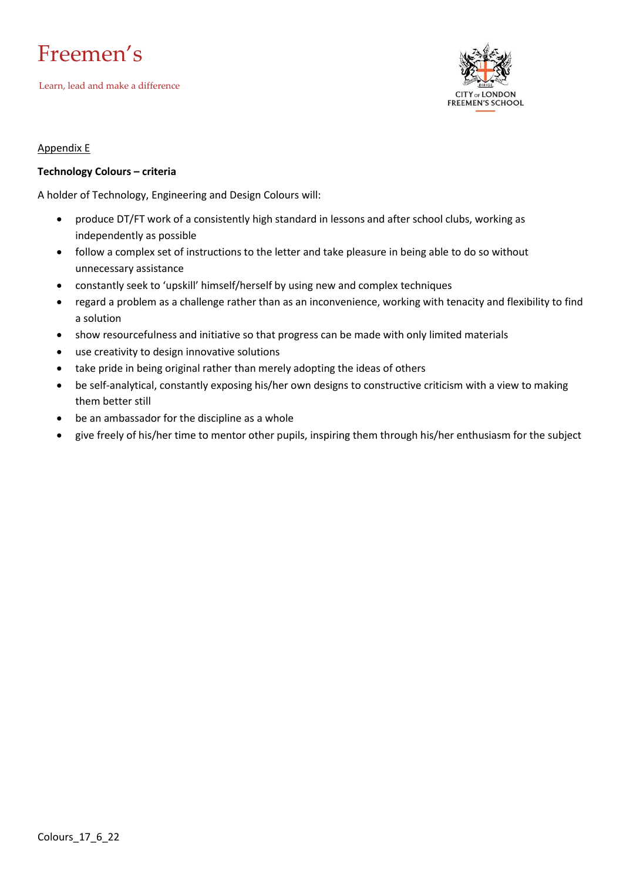## Freemen's

Learn, lead and make a difference



#### Appendix E

#### **Technology Colours – criteria**

A holder of Technology, Engineering and Design Colours will:

- produce DT/FT work of a consistently high standard in lessons and after school clubs, working as independently as possible
- follow a complex set of instructions to the letter and take pleasure in being able to do so without unnecessary assistance
- constantly seek to 'upskill' himself/herself by using new and complex techniques
- regard a problem as a challenge rather than as an inconvenience, working with tenacity and flexibility to find a solution
- show resourcefulness and initiative so that progress can be made with only limited materials
- use creativity to design innovative solutions
- take pride in being original rather than merely adopting the ideas of others
- be self-analytical, constantly exposing his/her own designs to constructive criticism with a view to making them better still
- be an ambassador for the discipline as a whole
- give freely of his/her time to mentor other pupils, inspiring them through his/her enthusiasm for the subject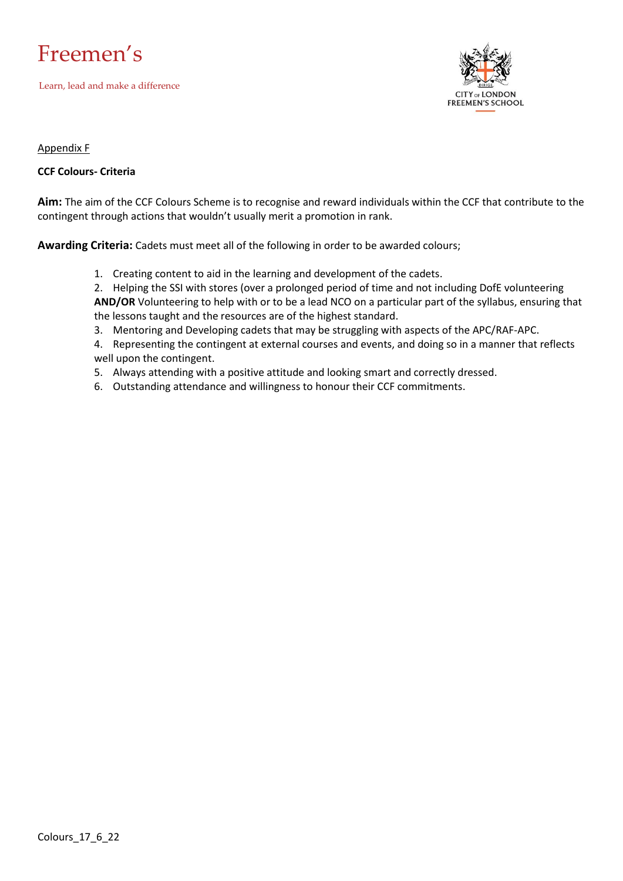



#### Appendix F

#### **CCF Colours- Criteria**

**Aim:** The aim of the CCF Colours Scheme is to recognise and reward individuals within the CCF that contribute to the contingent through actions that wouldn't usually merit a promotion in rank.

**Awarding Criteria:** Cadets must meet all of the following in order to be awarded colours;

1. Creating content to aid in the learning and development of the cadets.

2. Helping the SSI with stores (over a prolonged period of time and not including DofE volunteering **AND/OR** Volunteering to help with or to be a lead NCO on a particular part of the syllabus, ensuring that the lessons taught and the resources are of the highest standard.

- 3. Mentoring and Developing cadets that may be struggling with aspects of the APC/RAF-APC.
- 4. Representing the contingent at external courses and events, and doing so in a manner that reflects well upon the contingent.
- 5. Always attending with a positive attitude and looking smart and correctly dressed.
- 6. Outstanding attendance and willingness to honour their CCF commitments.